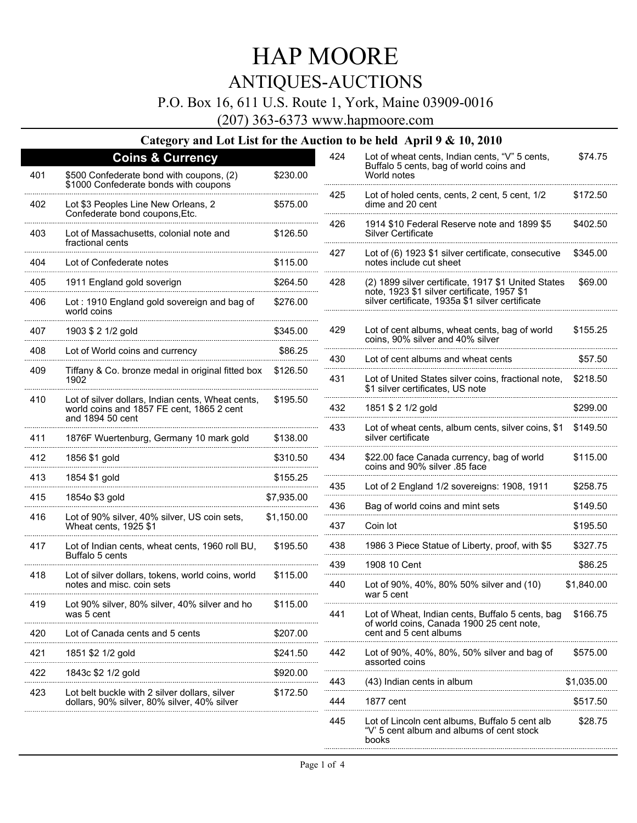## ANTIQUES-AUCTIONS

P.O. Box 16, 611 U.S. Route 1, York, Maine 03909-0016

(207) 363-6373 www.hapmoore.com

#### **Category and Lot List for the Auction to be held April 9 & 10, 2010**

|     | <b>Coins &amp; Currency</b>                                                                                        |            | 424 | Lot of wheat cents, Indian cents, "V" 5 cents,<br>Buffalo 5 cents, bag of world coins and       | \$74.75               |  |
|-----|--------------------------------------------------------------------------------------------------------------------|------------|-----|-------------------------------------------------------------------------------------------------|-----------------------|--|
| 401 | \$500 Confederate bond with coupons, (2)<br>\$1000 Confederate bonds with coupons                                  | \$230.00   |     | World notes                                                                                     |                       |  |
| 402 | Lot \$3 Peoples Line New Orleans, 2<br>Confederate bond coupons, Etc.                                              | \$575.00   | 425 | Lot of holed cents, cents, 2 cent, 5 cent, 1/2<br>dime and 20 cent                              | \$172.50              |  |
| 403 | Lot of Massachusetts, colonial note and<br>fractional cents                                                        | \$126.50   | 426 | 1914 \$10 Federal Reserve note and 1899 \$5<br>Silver Certificate                               | \$402.50              |  |
| 404 | Lot of Confederate notes                                                                                           | \$115.00   | 427 | Lot of (6) 1923 \$1 silver certificate, consecutive<br>notes include cut sheet                  | \$345.00              |  |
| 405 | 1911 England gold soverign                                                                                         | \$264.50   | 428 | (2) 1899 silver certificate, 1917 \$1 United States                                             | \$69.00               |  |
| 406 | Lot: 1910 England gold sovereign and bag of<br>world coins                                                         | \$276.00   |     | note, 1923 \$1 silver certificate, 1957 \$1<br>silver certificate, 1935a \$1 silver certificate |                       |  |
| 407 | 1903 \$ 2 1/2 gold                                                                                                 | \$345.00   | 429 | Lot of cent albums, wheat cents, bag of world<br>coins, 90% silver and 40% silver               | \$155.25              |  |
| 408 | Lot of World coins and currency                                                                                    | \$86.25    | 430 | Lot of cent albums and wheat cents                                                              | \$57.50               |  |
| 409 | Tiffany & Co. bronze medal in original fitted box<br>1902                                                          | \$126.50   | 431 | Lot of United States silver coins, fractional note,                                             | \$218.50              |  |
| 410 | Lot of silver dollars, Indian cents, Wheat cents,<br>world coins and 1857 FE cent, 1865 2 cent<br>and 1894 50 cent | \$195.50   |     | \$1 silver certificates, US note                                                                |                       |  |
|     |                                                                                                                    |            | 432 | 1851 \$ 2 1/2 gold                                                                              | \$299.00              |  |
| 411 | 1876F Wuertenburg, Germany 10 mark gold                                                                            | \$138.00   | 433 | Lot of wheat cents, album cents, silver coins, \$1<br>silver certificate                        | \$149.50              |  |
| 412 | 1856 \$1 gold                                                                                                      | \$310.50   | 434 | \$22.00 face Canada currency, bag of world<br>coins and 90% silver .85 face                     | \$115.00              |  |
| 413 | 1854 \$1 gold                                                                                                      | \$155.25   | 435 | Lot of 2 England 1/2 sovereigns: 1908, 1911                                                     | \$258.75              |  |
| 415 | 1854o \$3 gold                                                                                                     | \$7,935.00 | 436 | Bag of world coins and mint sets                                                                | \$149.50              |  |
| 416 | Lot of 90% silver, 40% silver, US coin sets,<br>Wheat cents, 1925 \$1                                              | \$1,150.00 | 437 | Coin lot                                                                                        | \$195.50              |  |
| 417 |                                                                                                                    | \$195.50   | 438 | 1986 3 Piece Statue of Liberty, proof, with \$5                                                 | \$327.75              |  |
|     | Lot of Indian cents, wheat cents, 1960 roll BU,<br>Buffalo 5 cents                                                 |            | 439 | 1908 10 Cent                                                                                    |                       |  |
| 418 | Lot of silver dollars, tokens, world coins, world<br>notes and misc. coin sets                                     | \$115.00   | 440 | Lot of 90%, 40%, 80% 50% silver and (10)                                                        | \$86.25<br>\$1,840.00 |  |
| 419 | Lot 90% silver, 80% silver, 40% silver and ho                                                                      | \$115.00   |     | war 5 cent                                                                                      |                       |  |
|     | was 5 cent                                                                                                         |            | 441 | Lot of Wheat, Indian cents, Buffalo 5 cents, bag<br>of world coins, Canada 1900 25 cent note,   | \$166.75              |  |
| 420 | Lot of Canada cents and 5 cents                                                                                    | \$207.00   |     | cent and 5 cent albums                                                                          |                       |  |
| 421 | 1851 \$2 1/2 gold                                                                                                  | \$241.50   | 442 | Lot of 90%, 40%, 80%, 50% silver and bag of<br>assorted coins                                   | \$575.00              |  |
| 422 | 1843c \$2 1/2 gold                                                                                                 | \$920.00   | 443 | (43) Indian cents in album                                                                      | \$1,035.00            |  |
| 423 | Lot belt buckle with 2 silver dollars, silver<br>dollars, 90% silver, 80% silver, 40% silver                       | \$172.50   | 444 | 1877 cent                                                                                       | \$517.50              |  |
|     |                                                                                                                    |            | 445 | Lot of Lincoln cent albums, Buffalo 5 cent alb<br>"V" 5 cent album and albums of cent stock     | \$28.75               |  |

books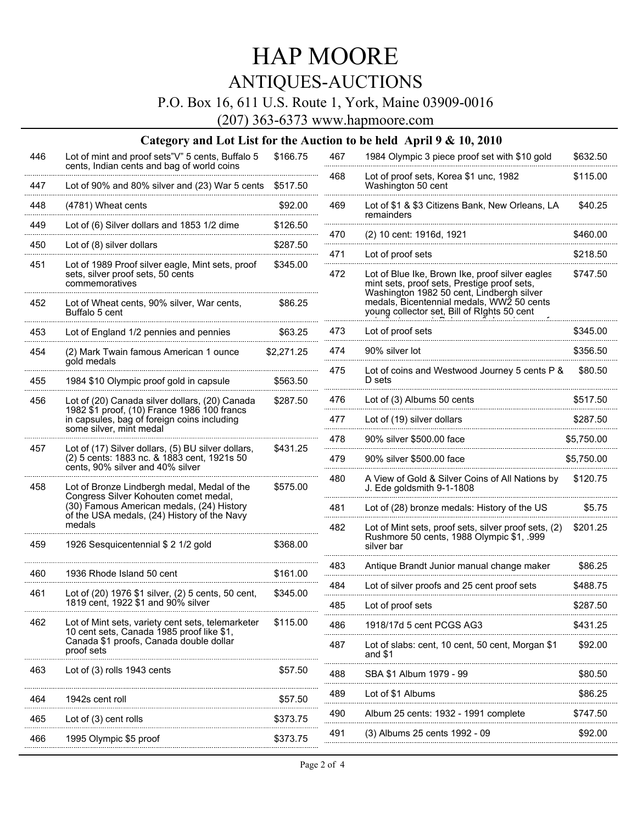### ANTIQUES-AUCTIONS

#### P.O. Box 16, 611 U.S. Route 1, York, Maine 03909-0016

(207) 363-6373 www.hapmoore.com

#### **Category and Lot List for the Auction to be held April 9 & 10, 2010**

| 446 | Lot of mint and proof sets"V" 5 cents, Buffalo 5<br>cents, Indian cents and bag of world coins                                                                          | \$166.75   | 467        | 1984 Olympic 3 piece proof set with \$10 gold                                                                                                                    | \$632.50             |
|-----|-------------------------------------------------------------------------------------------------------------------------------------------------------------------------|------------|------------|------------------------------------------------------------------------------------------------------------------------------------------------------------------|----------------------|
| 447 | Lot of 90% and 80% silver and (23) War 5 cents                                                                                                                          | \$517.50   | 468        | Lot of proof sets, Korea \$1 unc, 1982<br>Washington 50 cent                                                                                                     | \$115.00             |
| 448 | (4781) Wheat cents                                                                                                                                                      | \$92.00    | 469        | Lot of \$1 & \$3 Citizens Bank, New Orleans, LA<br>remainders                                                                                                    | \$40.25              |
| 449 | Lot of (6) Silver dollars and 1853 1/2 dime                                                                                                                             | \$126.50   | 470        | (2) 10 cent: 1916d, 1921                                                                                                                                         | \$460.00             |
| 450 | Lot of (8) silver dollars                                                                                                                                               | \$287.50   |            |                                                                                                                                                                  |                      |
| 451 | Lot of 1989 Proof silver eagle, Mint sets, proof<br>sets, silver proof sets, 50 cents<br>commemoratives                                                                 | \$345.00   | 471<br>472 | Lot of proof sets<br>Lot of Blue Ike, Brown Ike, proof silver eagles<br>mint sets, proof sets, Prestige proof sets,<br>Washington 1982 50 cent, Lindbergh silver | \$218.50<br>\$747.50 |
| 452 | Lot of Wheat cents, 90% silver, War cents,<br>Buffalo 5 cent                                                                                                            | \$86.25    |            | medals, Bicentennial medals, WW2 50 cents<br>young collector set, Bill of RIghts 50 cent                                                                         |                      |
| 453 | Lot of England 1/2 pennies and pennies                                                                                                                                  | \$63.25    | 473        | Lot of proof sets                                                                                                                                                | \$345.00             |
| 454 | (2) Mark Twain famous American 1 ounce                                                                                                                                  | \$2,271.25 | 474        | 90% silver lot                                                                                                                                                   | \$356.50             |
| 455 | gold medals<br>1984 \$10 Olympic proof gold in capsule                                                                                                                  | \$563.50   | 475        | Lot of coins and Westwood Journey 5 cents P &<br>D sets                                                                                                          | \$80.50              |
| 456 | Lot of (20) Canada silver dollars, (20) Canada<br>1982 \$1 proof, (10) France 1986 100 francs<br>in capsules, bag of foreign coins including<br>some silver, mint medal | \$287.50   | 476        | Lot of (3) Albums 50 cents                                                                                                                                       | \$517.50             |
|     |                                                                                                                                                                         |            | 477        | Lot of (19) silver dollars                                                                                                                                       | \$287.50             |
| 457 | Lot of (17) Silver dollars, (5) BU silver dollars,                                                                                                                      | \$431.25   | 478        | 90% silver \$500.00 face                                                                                                                                         | \$5,750.00           |
|     | (2) 5 cents: 1883 nc. & 1883 cent, 1921s 50<br>cents, 90% silver and 40% silver                                                                                         |            | 479        | 90% silver \$500.00 face                                                                                                                                         | \$5,750.00           |
| 458 | Lot of Bronze Lindbergh medal, Medal of the<br>Congress Silver Kohouten comet medal,                                                                                    | \$575.00   | 480        | A View of Gold & Silver Coins of All Nations by<br>J. Ede goldsmith 9-1-1808                                                                                     | \$120.75             |
|     | (30) Famous American medals, (24) History<br>of the USA medals, (24) History of the Navy                                                                                |            | 481        | Lot of (28) bronze medals: History of the US                                                                                                                     | \$5.75               |
| 459 | medals<br>1926 Sesquicentennial \$ 2 1/2 gold                                                                                                                           | \$368.00   | 482        | Lot of Mint sets, proof sets, silver proof sets, (2)<br>Rushmore 50 cents, 1988 Olympic \$1, .999<br>silver bar                                                  | \$201.25             |
|     |                                                                                                                                                                         |            | 483        | Antique Brandt Junior manual change maker                                                                                                                        | \$86.25              |
| 460 | 1936 Rhode Island 50 cent                                                                                                                                               | \$161.00   | .<br>484   | Lot of silver proofs and 25 cent proof sets                                                                                                                      | \$488.75             |
| 461 | Lot of (20) 1976 \$1 silver, (2) 5 cents, 50 cent,<br>1819 cent, 1922 \$1 and 90% silver                                                                                | \$345.00   | 485        | Lot of proof sets                                                                                                                                                | \$287.50             |
| 462 | Lot of Mint sets, variety cent sets, telemarketer<br>10 cent sets, Canada 1985 proof like \$1,                                                                          | \$115.00   | 486        | 1918/17d 5 cent PCGS AG3                                                                                                                                         | \$431.25             |
|     | Canada \$1 proofs, Canada double dollar<br>proof sets                                                                                                                   |            | 487        | Lot of slabs: cent, 10 cent, 50 cent, Morgan \$1<br>and $$1$                                                                                                     | \$92.00              |
| 463 | Lot of (3) rolls 1943 cents                                                                                                                                             | \$57.50    | 488        | SBA \$1 Album 1979 - 99                                                                                                                                          | \$80.50              |
| 464 | 1942s cent roll                                                                                                                                                         | \$57.50    | 489        | Lot of \$1 Albums                                                                                                                                                | \$86.25              |
| 465 | Lot of (3) cent rolls                                                                                                                                                   | \$373.75   | 490        | Album 25 cents: 1932 - 1991 complete                                                                                                                             | \$747.50             |
| 466 | 1995 Olympic \$5 proof                                                                                                                                                  | \$373.75   | 491        | (3) Albums 25 cents 1992 - 09                                                                                                                                    | \$92.00              |
|     |                                                                                                                                                                         |            |            |                                                                                                                                                                  |                      |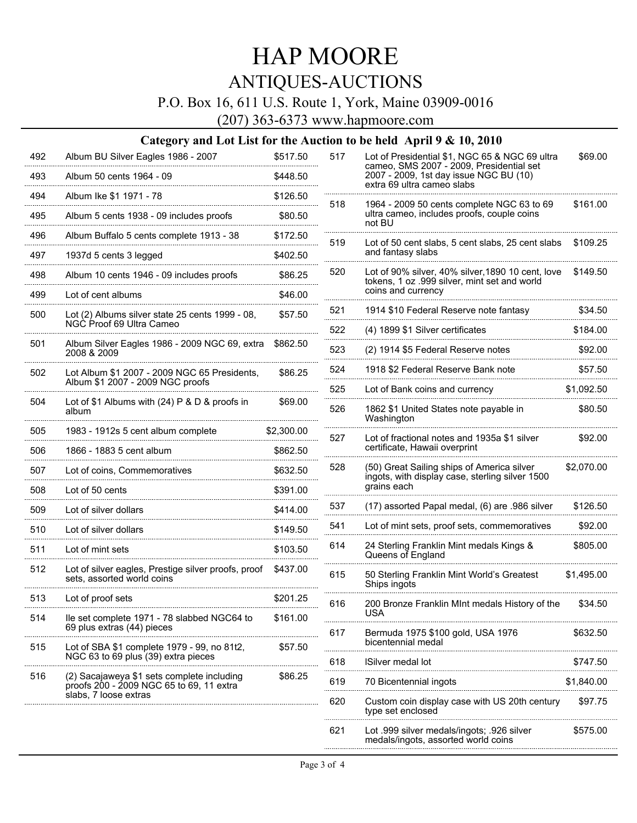### ANTIQUES-AUCTIONS

P.O. Box 16, 611 U.S. Route 1, York, Maine 03909-0016

(207) 363-6373 www.hapmoore.com

#### **Category and Lot List for the Auction to be held April 9 & 10, 2010**

|     | $\cup$ an $\zeta$ ury and<br>мос <u>мі</u> зс                                                                   |            |
|-----|-----------------------------------------------------------------------------------------------------------------|------------|
| 492 | Album BU Silver Eagles 1986 - 2007                                                                              | \$517.50   |
| 493 | Album 50 cents 1964 - 09                                                                                        | \$448.50   |
| 494 | Album Ike \$1 1971 - 78                                                                                         | \$126.50   |
| 495 | Album 5 cents 1938 - 09 includes proofs                                                                         | \$80.50    |
| 496 | Album Buffalo 5 cents complete 1913 - 38                                                                        | \$172.50   |
| 497 | 1937d 5 cents 3 legged                                                                                          | \$402.50   |
| 498 | Album 10 cents 1946 - 09 includes proofs                                                                        | \$86.25    |
| 499 | Lot of cent albums                                                                                              | \$46.00    |
| 500 | Lot (2) Albums silver state 25 cents 1999 - 08,<br>NGC Proof 69 Ultra Cameo                                     | \$57.50    |
| 501 | Album Silver Eagles 1986 - 2009 NGC 69, extra<br>2008 & 2009                                                    | \$862.50   |
| 502 | Lot Album \$1 2007 - 2009 NGC 65 Presidents,<br>Album \$1 2007 - 2009 NGC proofs                                | \$86.25    |
| 504 | Lot of \$1 Albums with $(24)$ P & D & proofs in<br>album                                                        | \$69.00    |
| 505 | 1983 - 1912s 5 cent album complete                                                                              | \$2,300.00 |
| 506 | 1866 - 1883 5 cent album                                                                                        | \$862.50   |
| 507 | Lot of coins, Commemoratives                                                                                    | \$632.50   |
| 508 | Lot of 50 cents                                                                                                 | \$391.00   |
| 509 | Lot of silver dollars                                                                                           | \$414.00   |
| 510 | Lot of silver dollars                                                                                           | \$149.50   |
| 511 | Lot of mint sets                                                                                                | \$103.50   |
| 512 | Lot of silver eagles, Prestige silver proofs, proof<br>sets, assorted world coins                               | \$437.00   |
| 513 | Lot of proof sets                                                                                               | \$201.25   |
| 514 | Ile set complete 1971 - 78 slabbed NGC64 to<br>69 plus extras (44) pieces                                       | \$161.00   |
| 515 | Lot of SBA \$1 complete 1979 - 99, no 81t2,<br>NGC 63 to 69 plus (39) extra pieces                              | \$57.50    |
| 516 | (2) Sacajaweya \$1 sets complete including<br>proofs 200 - 2009 NGC 65 to 69, 11 extra<br>slabs, 7 loose extras | \$86.25    |
|     |                                                                                                                 |            |

| 517 | Lot of Presidential \$1, NGC 65 & NGC 69 ultra<br>cameo, SMS 2007 - 2009, Presidential set<br>2007 - 2009, 1st day issue NGC BU (10)<br>extra 69 ultra cameo slabs | \$69.00    |
|-----|--------------------------------------------------------------------------------------------------------------------------------------------------------------------|------------|
| 518 | 1964 - 2009 50 cents complete NGC 63 to 69<br>ultra cameo, includes proofs, couple coins<br>not BU                                                                 | \$161.00   |
| 519 | Lot of 50 cent slabs, 5 cent slabs, 25 cent slabs<br>and fantasy slabs                                                                                             | \$109.25   |
| 520 | Lot of 90% silver, 40% silver, 1890 10 cent, love<br>tokens, 1 oz .999 silver, mint set and world<br>coins and currency                                            | \$149.50   |
| 521 | 1914 \$10 Federal Reserve note fantasy                                                                                                                             | \$34.50    |
| 522 | (4) 1899 \$1 Silver certificates                                                                                                                                   | \$184.00   |
| 523 | (2) 1914 \$5 Federal Reserve notes                                                                                                                                 | \$92.00    |
| 524 | 1918 \$2 Federal Reserve Bank note                                                                                                                                 | \$57.50    |
| 525 | Lot of Bank coins and currency                                                                                                                                     | \$1,092.50 |
| 526 | 1862 \$1 United States note payable in<br>Washington                                                                                                               | \$80.50    |
| 527 | Lot of fractional notes and 1935a \$1 silver<br>certificate, Hawaii overprint                                                                                      | \$92.00    |
| 528 | (50) Great Sailing ships of America silver<br>ingots, with display case, sterling silver 1500<br>grains each                                                       | \$2,070.00 |
| 537 | (17) assorted Papal medal, (6) are .986 silver                                                                                                                     | \$126.50   |
| 541 | Lot of mint sets, proof sets, commemoratives                                                                                                                       | \$92.00    |
| 614 | 24 Sterling Franklin Mint medals Kings &<br>Queens of England                                                                                                      | \$805.00   |
| 615 | 50 Sterling Franklin Mint World's Greatest<br>Ships ingots                                                                                                         | \$1,495.00 |
| 616 | 200 Bronze Franklin MInt medals History of the<br>USA                                                                                                              | \$34.50    |
| 617 | Bermuda 1975 \$100 gold, USA 1976<br>bicentennial medal                                                                                                            | \$632.50   |
| 618 | ISilver medal lot                                                                                                                                                  | \$747.50   |
| 619 | 70 Bicentennial ingots                                                                                                                                             | \$1,840.00 |
| 620 | Custom coin display case with US 20th century<br>type set enclosed                                                                                                 | \$97.75    |
| 621 | Lot .999 silver medals/ingots; .926 silver<br>medals/ingots, assorted world coins                                                                                  | \$575.00   |